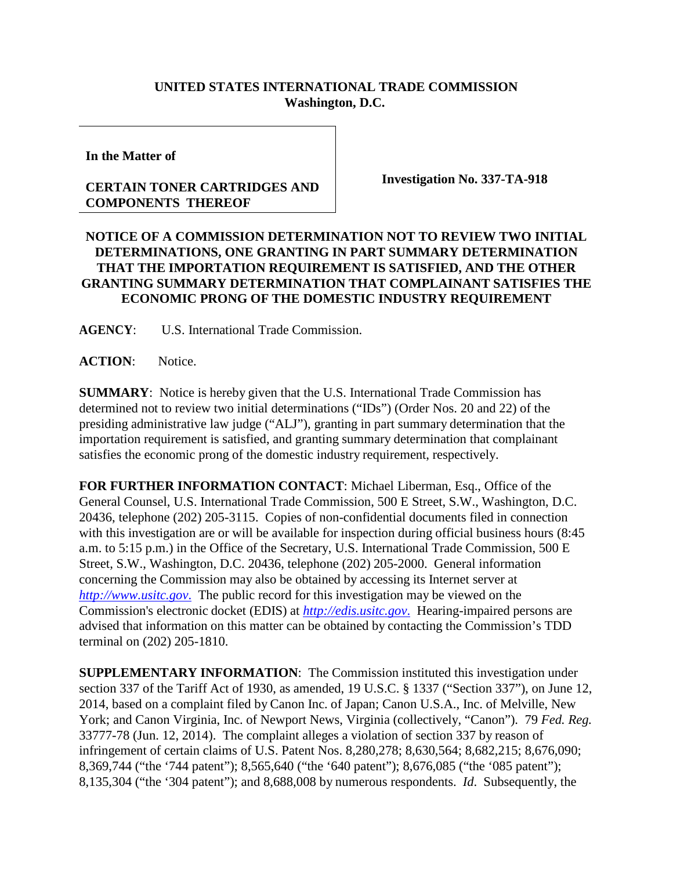## **UNITED STATES INTERNATIONAL TRADE COMMISSION Washington, D.C.**

**In the Matter of**

## **CERTAIN TONER CARTRIDGES AND COMPONENTS THEREOF**

**Investigation No. 337-TA-918**

## **NOTICE OF A COMMISSION DETERMINATION NOT TO REVIEW TWO INITIAL DETERMINATIONS, ONE GRANTING IN PART SUMMARY DETERMINATION THAT THE IMPORTATION REQUIREMENT IS SATISFIED, AND THE OTHER GRANTING SUMMARY DETERMINATION THAT COMPLAINANT SATISFIES THE ECONOMIC PRONG OF THE DOMESTIC INDUSTRY REQUIREMENT**

**AGENCY**: U.S. International Trade Commission.

**ACTION**: Notice.

**SUMMARY**: Notice is hereby given that the U.S. International Trade Commission has determined not to review two initial determinations ("IDs") (Order Nos. 20 and 22) of the presiding administrative law judge ("ALJ"), granting in part summary determination that the importation requirement is satisfied, and granting summary determination that complainant satisfies the economic prong of the domestic industry requirement, respectively.

**FOR FURTHER INFORMATION CONTACT**: Michael Liberman, Esq., Office of the General Counsel, U.S. International Trade Commission, 500 E Street, S.W., Washington, D.C. 20436, telephone (202) 205-3115. Copies of non-confidential documents filed in connection with this investigation are or will be available for inspection during official business hours (8:45) a.m. to 5:15 p.m.) in the Office of the Secretary, U.S. International Trade Commission, 500 E Street, S.W., Washington, D.C. 20436, telephone (202) 205-2000. General information concerning the Commission may also be obtained by accessing its Internet server at *[http://www.usitc.gov](http://www.usitc.gov./)*. The public record for this investigation may be viewed on the Commission's electronic docket (EDIS) at *[http://edis.usitc.gov](http://edis.usitc.gov./)*. Hearing-impaired persons are advised that information on this matter can be obtained by contacting the Commission's TDD terminal on (202) 205-1810.

**SUPPLEMENTARY INFORMATION**: The Commission instituted this investigation under section 337 of the Tariff Act of 1930, as amended, 19 U.S.C. § 1337 ("Section 337"), on June 12, 2014, based on a complaint filed by Canon Inc. of Japan; Canon U.S.A., Inc. of Melville, New York; and Canon Virginia, Inc. of Newport News, Virginia (collectively, "Canon"). 79 *Fed. Reg.* 33777-78 (Jun. 12, 2014). The complaint alleges a violation of section 337 by reason of infringement of certain claims of U.S. Patent Nos. 8,280,278; 8,630,564; 8,682,215; 8,676,090; 8,369,744 ("the '744 patent"); 8,565,640 ("the '640 patent"); 8,676,085 ("the '085 patent"); 8,135,304 ("the '304 patent"); and 8,688,008 by numerous respondents. *Id*. Subsequently, the